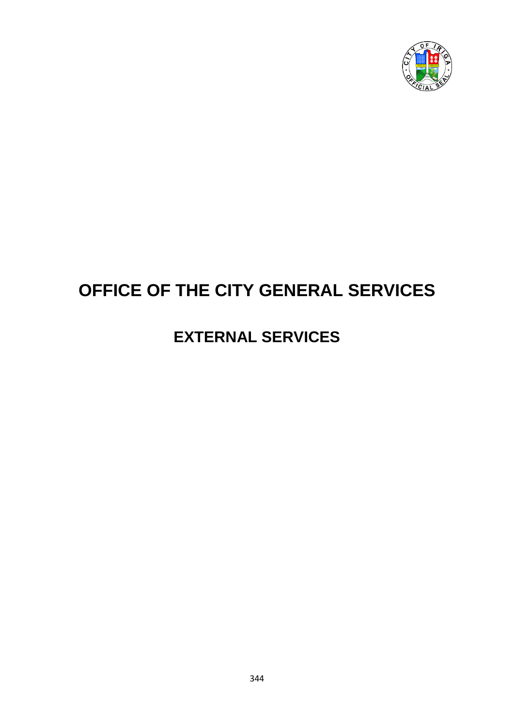

# **OFFICE OF THE CITY GENERAL SERVICES**

# **EXTERNAL SERVICES**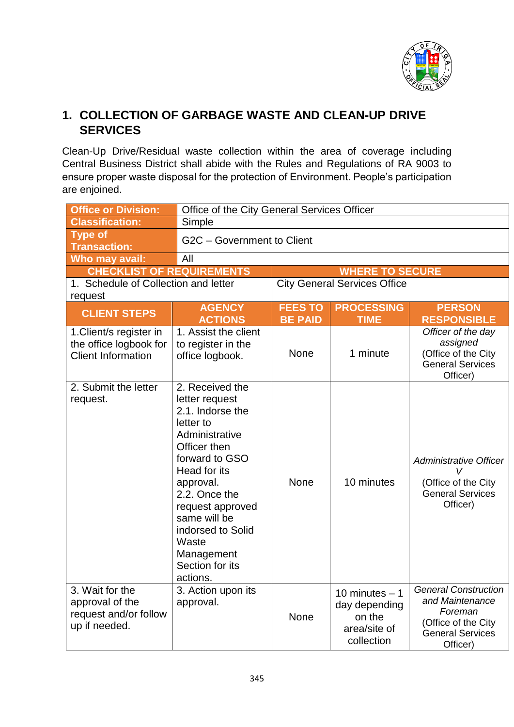

### **1. COLLECTION OF GARBAGE WASTE AND CLEAN-UP DRIVE SERVICES**

Clean-Up Drive/Residual waste collection within the area of coverage including Central Business District shall abide with the Rules and Regulations of RA 9003 to ensure proper waste disposal for the protection of Environment. People's participation are enjoined.

| <b>Office or Division:</b>                                                     | Office of the City General Services Officer                                                                                                                                                                                                                                         |                                  |                                                                          |                                                                                                                         |  |
|--------------------------------------------------------------------------------|-------------------------------------------------------------------------------------------------------------------------------------------------------------------------------------------------------------------------------------------------------------------------------------|----------------------------------|--------------------------------------------------------------------------|-------------------------------------------------------------------------------------------------------------------------|--|
| <b>Classification:</b>                                                         | Simple                                                                                                                                                                                                                                                                              |                                  |                                                                          |                                                                                                                         |  |
| <b>Type of</b><br><b>Transaction:</b>                                          | G2C - Government to Client                                                                                                                                                                                                                                                          |                                  |                                                                          |                                                                                                                         |  |
| Who may avail:                                                                 | All                                                                                                                                                                                                                                                                                 |                                  |                                                                          |                                                                                                                         |  |
| <b>CHECKLIST OF REQUIREMENTS</b>                                               |                                                                                                                                                                                                                                                                                     |                                  | <b>WHERE TO SECURE</b>                                                   |                                                                                                                         |  |
| 1. Schedule of Collection and letter<br>request                                |                                                                                                                                                                                                                                                                                     |                                  | <b>City General Services Office</b>                                      |                                                                                                                         |  |
| <b>CLIENT STEPS</b>                                                            | <b>AGENCY</b><br><b>ACTIONS</b>                                                                                                                                                                                                                                                     | <b>FEES TO</b><br><b>BE PAID</b> | <b>PROCESSING</b><br><b>TIME</b>                                         | <b>PERSON</b><br><b>RESPONSIBLE</b>                                                                                     |  |
| 1. Client/s register in<br>the office logbook for<br><b>Client Information</b> | 1. Assist the client<br>to register in the<br>office logbook.                                                                                                                                                                                                                       | <b>None</b>                      | 1 minute                                                                 | Officer of the day<br>assigned<br>(Office of the City<br><b>General Services</b><br>Officer)                            |  |
| 2. Submit the letter<br>request.                                               | 2. Received the<br>letter request<br>2.1. Indorse the<br>letter to<br>Administrative<br>Officer then<br>forward to GSO<br>Head for its<br>approval.<br>2.2. Once the<br>request approved<br>same will be<br>indorsed to Solid<br>Waste<br>Management<br>Section for its<br>actions. | <b>None</b>                      | 10 minutes                                                               | Administrative Officer<br>$\mathsf{V}$<br>(Office of the City<br><b>General Services</b><br>Officer)                    |  |
| 3. Wait for the<br>approval of the<br>request and/or follow<br>up if needed.   | 3. Action upon its<br>approval.                                                                                                                                                                                                                                                     | None                             | 10 minutes $-1$<br>day depending<br>on the<br>area/site of<br>collection | <b>General Construction</b><br>and Maintenance<br>Foreman<br>(Office of the City<br><b>General Services</b><br>Officer) |  |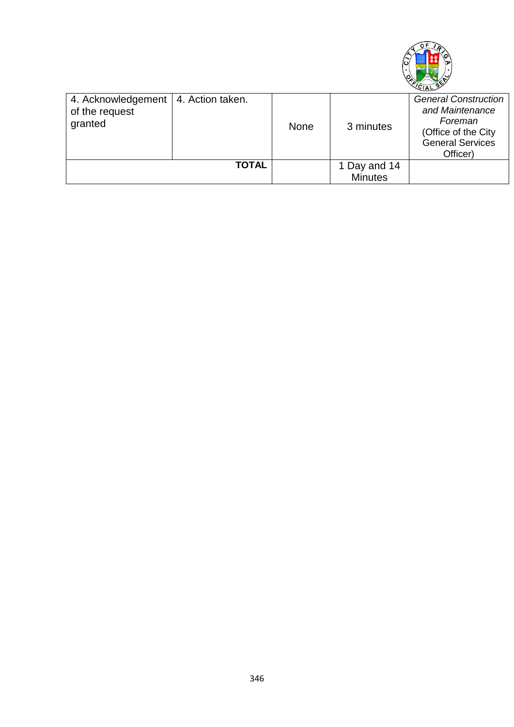

| 4. Acknowledgement   4. Action taken.<br>of the request<br>granted |              | <b>None</b> | 3 minutes                      | <b>General Construction</b><br>and Maintenance<br>Foreman<br>(Office of the City<br><b>General Services</b><br>Officer) |
|--------------------------------------------------------------------|--------------|-------------|--------------------------------|-------------------------------------------------------------------------------------------------------------------------|
|                                                                    | <b>TOTAL</b> |             | 1 Day and 14<br><b>Minutes</b> |                                                                                                                         |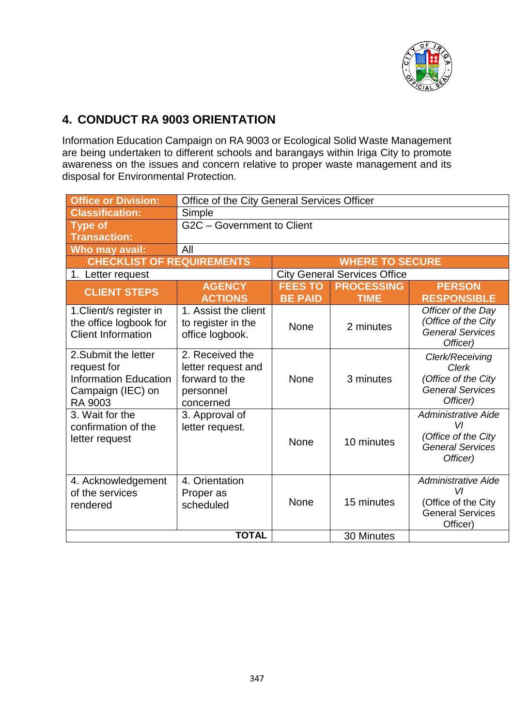

## **4. CONDUCT RA 9003 ORIENTATION**

Information Education Campaign on RA 9003 or Ecological Solid Waste Management are being undertaken to different schools and barangays within Iriga City to promote awareness on the issues and concern relative to proper waste management and its disposal for Environmental Protection.

| <b>Office or Division:</b>                                                                                 | Office of the City General Services Officer                                       |                                  |                                     |                                                                                                |
|------------------------------------------------------------------------------------------------------------|-----------------------------------------------------------------------------------|----------------------------------|-------------------------------------|------------------------------------------------------------------------------------------------|
| <b>Classification:</b>                                                                                     | Simple                                                                            |                                  |                                     |                                                                                                |
| <b>Type of</b>                                                                                             | G2C - Government to Client                                                        |                                  |                                     |                                                                                                |
| <b>Transaction:</b>                                                                                        |                                                                                   |                                  |                                     |                                                                                                |
| Who may avail:                                                                                             | All                                                                               |                                  |                                     |                                                                                                |
| <b>CHECKLIST OF REQUIREMENTS</b>                                                                           |                                                                                   |                                  | <b>WHERE TO SECURE</b>              |                                                                                                |
| 1. Letter request                                                                                          |                                                                                   |                                  | <b>City General Services Office</b> |                                                                                                |
| <b>CLIENT STEPS</b>                                                                                        | <b>AGENCY</b><br><b>ACTIONS</b>                                                   | <b>FEES TO</b><br><b>BE PAID</b> | <b>PROCESSING</b><br><b>TIME</b>    | <b>PERSON</b><br><b>RESPONSIBLE</b>                                                            |
| 1. Client/s register in<br>the office logbook for<br><b>Client Information</b>                             | 1. Assist the client<br>to register in the<br>office logbook.                     | None                             | 2 minutes                           | Officer of the Day<br>(Office of the City<br><b>General Services</b><br>Officer)               |
| 2. Submit the letter<br>request for<br><b>Information Education</b><br>Campaign (IEC) on<br><b>RA 9003</b> | 2. Received the<br>letter request and<br>forward to the<br>personnel<br>concerned | <b>None</b>                      | 3 minutes                           | Clerk/Receiving<br><b>Clerk</b><br>(Office of the City<br><b>General Services</b><br>Officer)  |
| 3. Wait for the<br>confirmation of the<br>letter request                                                   | 3. Approval of<br>letter request.                                                 | None                             | 10 minutes                          | <b>Administrative Aide</b><br>VI<br>(Office of the City<br><b>General Services</b><br>Officer) |
| 4. Acknowledgement<br>of the services<br>rendered                                                          | 4. Orientation<br>Proper as<br>scheduled<br><b>TOTAL</b>                          | None                             | 15 minutes                          | <b>Administrative Aide</b><br>VI<br>(Office of the City<br><b>General Services</b><br>Officer) |
|                                                                                                            |                                                                                   | 30 Minutes                       |                                     |                                                                                                |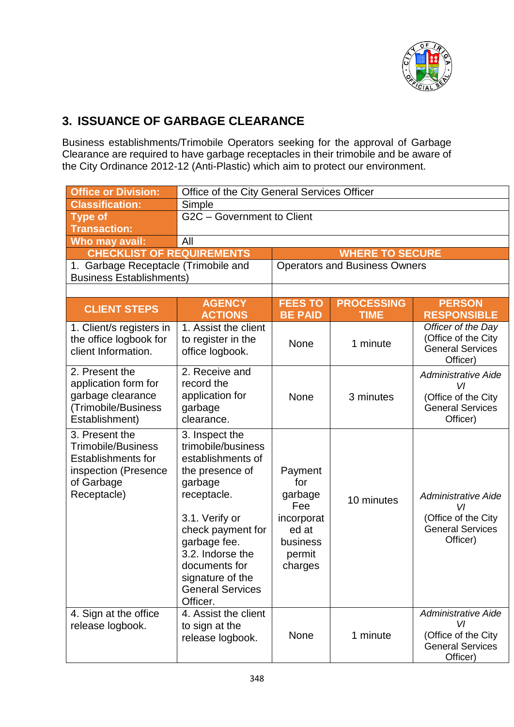

# **3. ISSUANCE OF GARBAGE CLEARANCE**

Business establishments/Trimobile Operators seeking for the approval of Garbage Clearance are required to have garbage receptacles in their trimobile and be aware of the City Ordinance 2012-12 (Anti-Plastic) which aim to protect our environment.

| <b>Office or Division:</b>                                                                                                    | Office of the City General Services Officer                                                                                                                                                                                                                   |                                                                                          |                                  |                                                                                                |
|-------------------------------------------------------------------------------------------------------------------------------|---------------------------------------------------------------------------------------------------------------------------------------------------------------------------------------------------------------------------------------------------------------|------------------------------------------------------------------------------------------|----------------------------------|------------------------------------------------------------------------------------------------|
| <b>Classification:</b>                                                                                                        | Simple                                                                                                                                                                                                                                                        |                                                                                          |                                  |                                                                                                |
| <b>Type of</b>                                                                                                                | G2C - Government to Client                                                                                                                                                                                                                                    |                                                                                          |                                  |                                                                                                |
| <b>Transaction:</b>                                                                                                           |                                                                                                                                                                                                                                                               |                                                                                          |                                  |                                                                                                |
| Who may avail:<br>All                                                                                                         |                                                                                                                                                                                                                                                               |                                                                                          |                                  |                                                                                                |
| <b>CHECKLIST OF REQUIREMENTS</b>                                                                                              |                                                                                                                                                                                                                                                               | <b>WHERE TO SECURE</b>                                                                   |                                  |                                                                                                |
| 1. Garbage Receptacle (Trimobile and<br><b>Business Establishments)</b>                                                       |                                                                                                                                                                                                                                                               | <b>Operators and Business Owners</b>                                                     |                                  |                                                                                                |
|                                                                                                                               |                                                                                                                                                                                                                                                               |                                                                                          |                                  |                                                                                                |
| <b>CLIENT STEPS</b>                                                                                                           | <b>AGENCY</b><br><b>ACTIONS</b>                                                                                                                                                                                                                               | <b>FEES TO</b><br><b>BE PAID</b>                                                         | <b>PROCESSING</b><br><b>TIME</b> | <b>PERSON</b><br><b>RESPONSIBLE</b>                                                            |
| 1. Client/s registers in<br>the office logbook for<br>client Information.                                                     | 1. Assist the client<br>to register in the<br>office logbook.                                                                                                                                                                                                 | None                                                                                     | 1 minute                         | Officer of the Day<br>(Office of the City<br><b>General Services</b><br>Officer)               |
| 2. Present the<br>application form for<br>garbage clearance<br>(Trimobile/Business<br>Establishment)                          | 2. Receive and<br>record the<br>application for<br>garbage<br>clearance.                                                                                                                                                                                      | <b>None</b>                                                                              | 3 minutes                        | <b>Administrative Aide</b><br>VI<br>(Office of the City<br><b>General Services</b><br>Officer) |
| 3. Present the<br><b>Trimobile/Business</b><br><b>Establishments for</b><br>inspection (Presence<br>of Garbage<br>Receptacle) | 3. Inspect the<br>trimobile/business<br>establishments of<br>the presence of<br>garbage<br>receptacle.<br>3.1. Verify or<br>check payment for<br>garbage fee.<br>3.2. Indorse the<br>documents for<br>signature of the<br><b>General Services</b><br>Officer. | Payment<br>for<br>garbage<br>Fee<br>incorporat<br>ed at<br>business<br>permit<br>charges | 10 minutes                       | <b>Administrative Aide</b><br>VI<br>(Office of the City<br><b>General Services</b><br>Officer) |
| 4. Sign at the office<br>release logbook.                                                                                     | 4. Assist the client<br>to sign at the<br>release logbook.                                                                                                                                                                                                    | <b>None</b>                                                                              | 1 minute                         | <b>Administrative Aide</b><br>VI<br>(Office of the City<br><b>General Services</b><br>Officer) |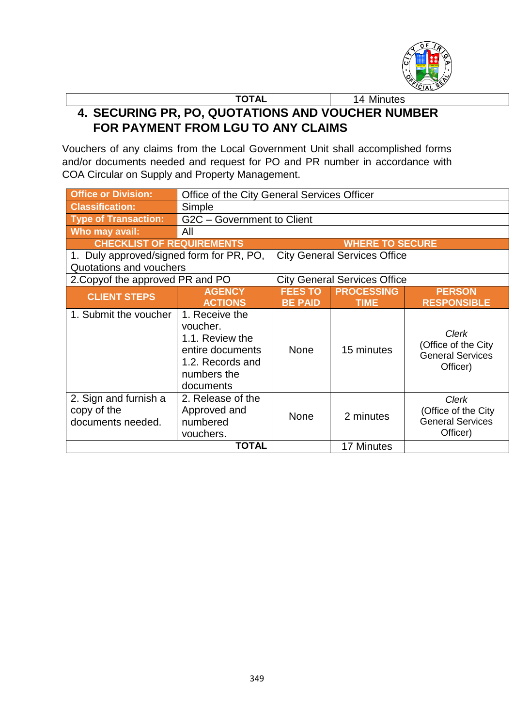

#### **TOTAL** 14 Minutes **4. SECURING PR, PO, QUOTATIONS AND VOUCHER NUMBER FOR PAYMENT FROM LGU TO ANY CLAIMS**

Vouchers of any claims from the Local Government Unit shall accomplished forms and/or documents needed and request for PO and PR number in accordance with COA Circular on Supply and Property Management.

| <b>Office or Division:</b>                                | Office of the City General Services Officer                                                                       |                                     |                   |                                                                     |  |
|-----------------------------------------------------------|-------------------------------------------------------------------------------------------------------------------|-------------------------------------|-------------------|---------------------------------------------------------------------|--|
| <b>Classification:</b>                                    | Simple                                                                                                            |                                     |                   |                                                                     |  |
| <b>Type of Transaction:</b>                               | G2C - Government to Client                                                                                        |                                     |                   |                                                                     |  |
| Who may avail:                                            | All                                                                                                               |                                     |                   |                                                                     |  |
| <b>CHECKLIST OF REQUIREMENTS</b>                          |                                                                                                                   | <b>WHERE TO SECURE</b>              |                   |                                                                     |  |
| 1. Duly approved/signed form for PR, PO,                  |                                                                                                                   | <b>City General Services Office</b> |                   |                                                                     |  |
| Quotations and vouchers                                   |                                                                                                                   |                                     |                   |                                                                     |  |
| 2. Copyof the approved PR and PO                          | <b>City General Services Office</b>                                                                               |                                     |                   |                                                                     |  |
| <b>CLIENT STEPS</b>                                       | <b>AGENCY</b>                                                                                                     | <b>FEES TO</b>                      | <b>PROCESSING</b> | <b>PERSON</b>                                                       |  |
|                                                           | <b>ACTIONS</b>                                                                                                    | <b>BE PAID</b>                      | <b>TIME</b>       | <b>RESPONSIBLE</b>                                                  |  |
| 1. Submit the voucher                                     | 1. Receive the<br>voucher.<br>1.1. Review the<br>entire documents<br>1.2. Records and<br>numbers the<br>documents | <b>None</b>                         | 15 minutes        | Clerk<br>(Office of the City<br><b>General Services</b><br>Officer) |  |
| 2. Sign and furnish a<br>copy of the<br>documents needed. | 2. Release of the<br>Approved and<br>numbered<br>vouchers.                                                        | <b>None</b>                         | 2 minutes         | Clerk<br>(Office of the City<br><b>General Services</b><br>Officer) |  |
| <b>TOTAL</b>                                              |                                                                                                                   |                                     | 17 Minutes        |                                                                     |  |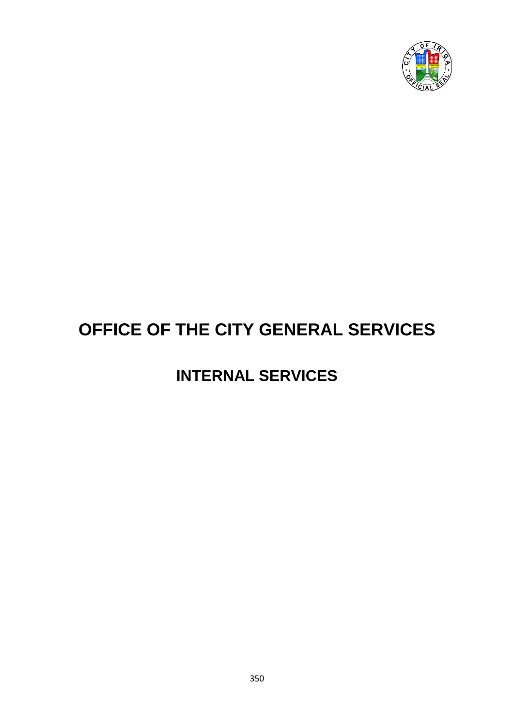

# **OFFICE OF THE CITY GENERAL SERVICES**

# **INTERNAL SERVICES**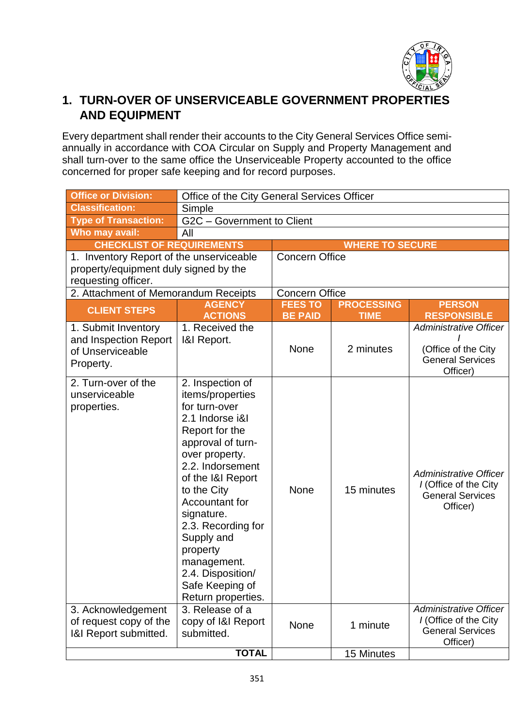

## **1. TURN-OVER OF UNSERVICEABLE GOVERNMENT PROPERTIES AND EQUIPMENT**

Every department shall render their accounts to the City General Services Office semiannually in accordance with COA Circular on Supply and Property Management and shall turn-over to the same office the Unserviceable Property accounted to the office concerned for proper safe keeping and for record purposes.

| <b>Office or Division:</b>                                                    | Office of the City General Services Officer                                                                                                                                                                                                                                                                                                            |                                  |                                  |                                                                                             |
|-------------------------------------------------------------------------------|--------------------------------------------------------------------------------------------------------------------------------------------------------------------------------------------------------------------------------------------------------------------------------------------------------------------------------------------------------|----------------------------------|----------------------------------|---------------------------------------------------------------------------------------------|
| <b>Classification:</b>                                                        | Simple                                                                                                                                                                                                                                                                                                                                                 |                                  |                                  |                                                                                             |
| <b>Type of Transaction:</b>                                                   | G2C - Government to Client                                                                                                                                                                                                                                                                                                                             |                                  |                                  |                                                                                             |
| Who may avail:                                                                | All                                                                                                                                                                                                                                                                                                                                                    |                                  |                                  |                                                                                             |
| <b>CHECKLIST OF REQUIREMENTS</b>                                              |                                                                                                                                                                                                                                                                                                                                                        |                                  | <b>WHERE TO SECURE</b>           |                                                                                             |
| 1. Inventory Report of the unserviceable                                      |                                                                                                                                                                                                                                                                                                                                                        | <b>Concern Office</b>            |                                  |                                                                                             |
| property/equipment duly signed by the<br>requesting officer.                  |                                                                                                                                                                                                                                                                                                                                                        |                                  |                                  |                                                                                             |
| 2. Attachment of Memorandum Receipts                                          |                                                                                                                                                                                                                                                                                                                                                        | <b>Concern Office</b>            |                                  |                                                                                             |
| <b>CLIENT STEPS</b>                                                           | <b>AGENCY</b><br><b>ACTIONS</b>                                                                                                                                                                                                                                                                                                                        | <b>FEES TO</b><br><b>BE PAID</b> | <b>PROCESSING</b><br><b>TIME</b> | <b>PERSON</b><br><b>RESPONSIBLE</b>                                                         |
| 1. Submit Inventory<br>and Inspection Report<br>of Unserviceable<br>Property. | 1. Received the<br>1&I Report.                                                                                                                                                                                                                                                                                                                         | None                             | 2 minutes                        | <b>Administrative Officer</b><br>(Office of the City<br><b>General Services</b><br>Officer) |
| 2. Turn-over of the<br>unserviceable<br>properties.                           | 2. Inspection of<br>items/properties<br>for turn-over<br>2.1 Indorse i&l<br>Report for the<br>approval of turn-<br>over property.<br>2.2. Indorsement<br>of the I&I Report<br>to the City<br>Accountant for<br>signature.<br>2.3. Recording for<br>Supply and<br>property<br>management.<br>2.4. Disposition/<br>Safe Keeping of<br>Return properties. | None                             | 15 minutes                       | Administrative Officer<br>I (Office of the City<br><b>General Services</b><br>Officer)      |
| 3. Acknowledgement<br>of request copy of the<br>1&I Report submitted.         | 3. Release of a<br>copy of I&I Report<br>submitted.                                                                                                                                                                                                                                                                                                    | None                             | 1 minute                         | Administrative Officer<br>I (Office of the City<br><b>General Services</b><br>Officer)      |
|                                                                               | <b>TOTAL</b>                                                                                                                                                                                                                                                                                                                                           |                                  | 15 Minutes                       |                                                                                             |